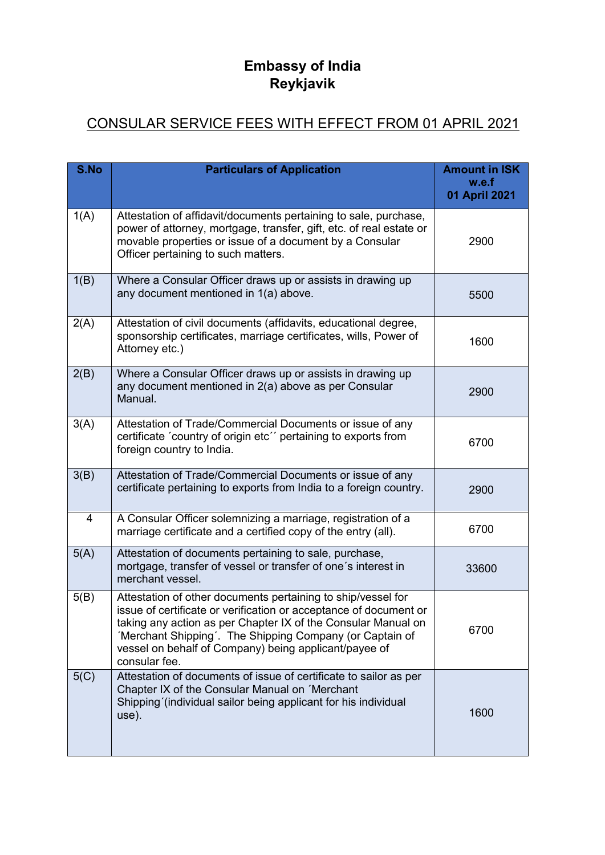## **Embassy of India Reykjavik**

## CONSULAR SERVICE FEES WITH EFFECT FROM 01 APRIL 2021

| S.No | <b>Particulars of Application</b>                                                                                                                                                                                                                                                                                                        | <b>Amount in ISK</b><br>w.e.f<br>01 April 2021 |
|------|------------------------------------------------------------------------------------------------------------------------------------------------------------------------------------------------------------------------------------------------------------------------------------------------------------------------------------------|------------------------------------------------|
| 1(A) | Attestation of affidavit/documents pertaining to sale, purchase,<br>power of attorney, mortgage, transfer, gift, etc. of real estate or<br>movable properties or issue of a document by a Consular<br>Officer pertaining to such matters.                                                                                                | 2900                                           |
| 1(B) | Where a Consular Officer draws up or assists in drawing up<br>any document mentioned in 1(a) above.                                                                                                                                                                                                                                      | 5500                                           |
| 2(A) | Attestation of civil documents (affidavits, educational degree,<br>sponsorship certificates, marriage certificates, wills, Power of<br>Attorney etc.)                                                                                                                                                                                    | 1600                                           |
| 2(B) | Where a Consular Officer draws up or assists in drawing up<br>any document mentioned in 2(a) above as per Consular<br>Manual.                                                                                                                                                                                                            | 2900                                           |
| 3(A) | Attestation of Trade/Commercial Documents or issue of any<br>certificate 'country of origin etc'' pertaining to exports from<br>foreign country to India.                                                                                                                                                                                | 6700                                           |
| 3(B) | Attestation of Trade/Commercial Documents or issue of any<br>certificate pertaining to exports from India to a foreign country.                                                                                                                                                                                                          | 2900                                           |
| 4    | A Consular Officer solemnizing a marriage, registration of a<br>marriage certificate and a certified copy of the entry (all).                                                                                                                                                                                                            | 6700                                           |
| 5(A) | Attestation of documents pertaining to sale, purchase,<br>mortgage, transfer of vessel or transfer of one's interest in<br>merchant vessel.                                                                                                                                                                                              | 33600                                          |
| 5(B) | Attestation of other documents pertaining to ship/vessel for<br>issue of certificate or verification or acceptance of document or<br>taking any action as per Chapter IX of the Consular Manual on<br>'Merchant Shipping'. The Shipping Company (or Captain of<br>vessel on behalf of Company) being applicant/payee of<br>consular fee. | 6700                                           |
| 5(C) | Attestation of documents of issue of certificate to sailor as per<br>Chapter IX of the Consular Manual on 'Merchant<br>Shipping (individual sailor being applicant for his individual<br>use).                                                                                                                                           | 1600                                           |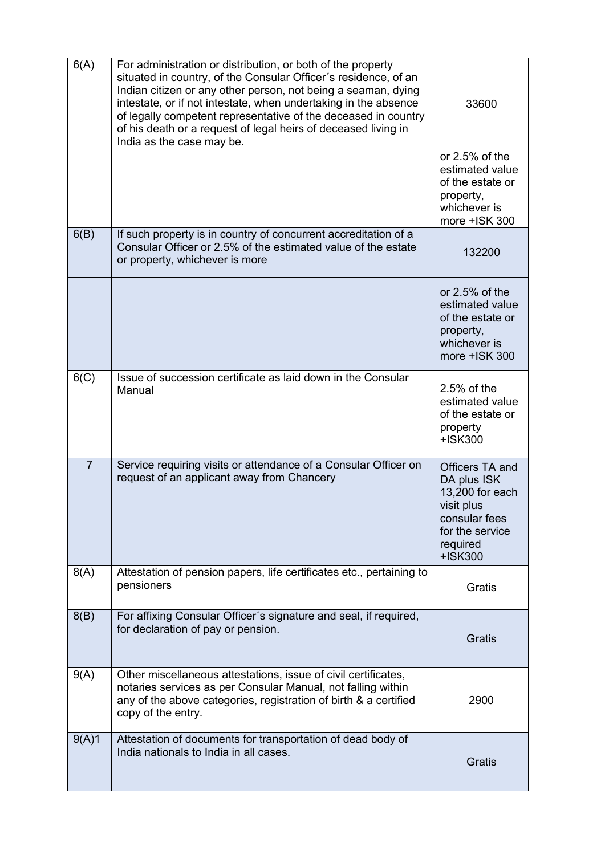| 6(A)           | For administration or distribution, or both of the property<br>situated in country, of the Consular Officer's residence, of an<br>Indian citizen or any other person, not being a seaman, dying<br>intestate, or if not intestate, when undertaking in the absence<br>of legally competent representative of the deceased in country<br>of his death or a request of legal heirs of deceased living in<br>India as the case may be. | 33600                                                                                                                      |
|----------------|-------------------------------------------------------------------------------------------------------------------------------------------------------------------------------------------------------------------------------------------------------------------------------------------------------------------------------------------------------------------------------------------------------------------------------------|----------------------------------------------------------------------------------------------------------------------------|
|                |                                                                                                                                                                                                                                                                                                                                                                                                                                     | or $2.5%$ of the<br>estimated value<br>of the estate or<br>property,<br>whichever is<br>more +ISK 300                      |
| 6(B)           | If such property is in country of concurrent accreditation of a<br>Consular Officer or 2.5% of the estimated value of the estate<br>or property, whichever is more                                                                                                                                                                                                                                                                  | 132200                                                                                                                     |
|                |                                                                                                                                                                                                                                                                                                                                                                                                                                     | or 2.5% of the<br>estimated value<br>of the estate or<br>property,<br>whichever is<br>more +ISK 300                        |
| 6(C)           | Issue of succession certificate as laid down in the Consular<br>Manual                                                                                                                                                                                                                                                                                                                                                              | 2.5% of the<br>estimated value<br>of the estate or<br>property<br>+ISK300                                                  |
| $\overline{7}$ | Service requiring visits or attendance of a Consular Officer on<br>request of an applicant away from Chancery                                                                                                                                                                                                                                                                                                                       | Officers TA and<br>DA plus ISK<br>13,200 for each<br>visit plus<br>consular fees<br>for the service<br>required<br>+ISK300 |
| 8(A)           | Attestation of pension papers, life certificates etc., pertaining to<br>pensioners                                                                                                                                                                                                                                                                                                                                                  | Gratis                                                                                                                     |
| 8(B)           | For affixing Consular Officer's signature and seal, if required,<br>for declaration of pay or pension.                                                                                                                                                                                                                                                                                                                              | Gratis                                                                                                                     |
| 9(A)           | Other miscellaneous attestations, issue of civil certificates,<br>notaries services as per Consular Manual, not falling within<br>any of the above categories, registration of birth & a certified<br>copy of the entry.                                                                                                                                                                                                            | 2900                                                                                                                       |
| 9(A)1          | Attestation of documents for transportation of dead body of<br>India nationals to India in all cases.                                                                                                                                                                                                                                                                                                                               | Gratis                                                                                                                     |